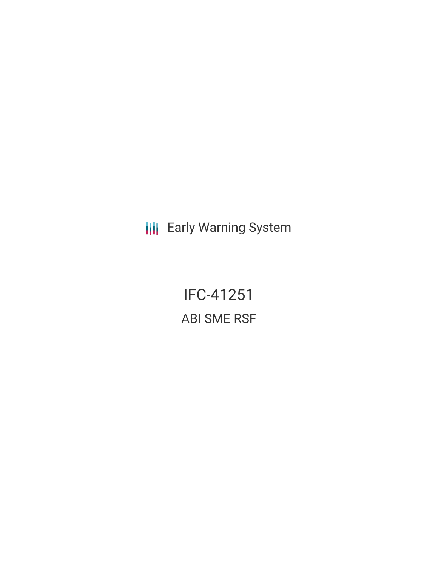**III** Early Warning System

IFC-41251 ABI SME RSF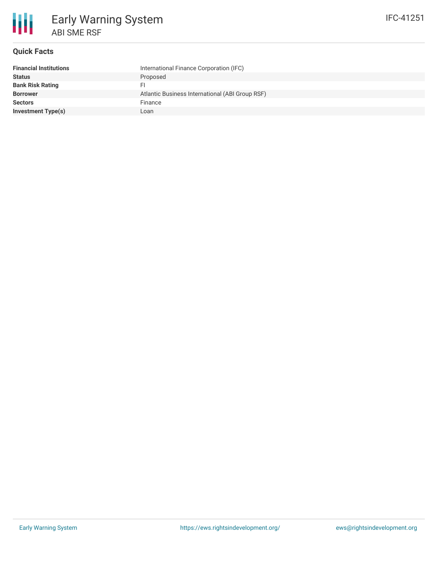

# **Quick Facts**

| <b>Financial Institutions</b> | International Finance Corporation (IFC)         |
|-------------------------------|-------------------------------------------------|
| <b>Status</b>                 | Proposed                                        |
| <b>Bank Risk Rating</b>       |                                                 |
| <b>Borrower</b>               | Atlantic Business International (ABI Group RSF) |
| <b>Sectors</b>                | Finance                                         |
| <b>Investment Type(s)</b>     | Loan                                            |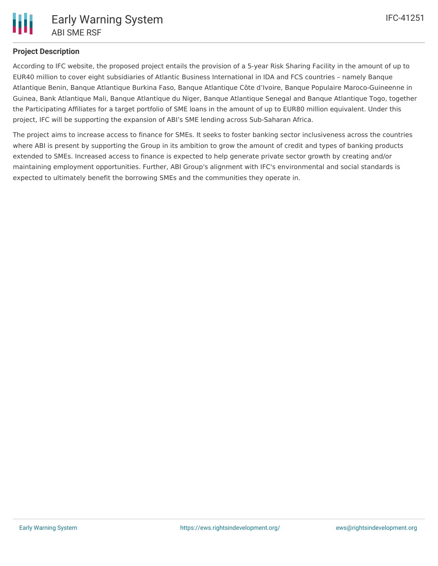

# **Project Description**

According to IFC website, the proposed project entails the provision of a 5-year Risk Sharing Facility in the amount of up to EUR40 million to cover eight subsidiaries of Atlantic Business International in IDA and FCS countries – namely Banque Atlantique Benin, Banque Atlantique Burkina Faso, Banque Atlantique Côte d'Ivoire, Banque Populaire Maroco-Guineenne in Guinea, Bank Atlantique Mali, Banque Atlantique du Niger, Banque Atlantique Senegal and Banque Atlantique Togo, together the Participating Affiliates for a target portfolio of SME loans in the amount of up to EUR80 million equivalent. Under this project, IFC will be supporting the expansion of ABI's SME lending across Sub-Saharan Africa.

The project aims to increase access to finance for SMEs. It seeks to foster banking sector inclusiveness across the countries where ABI is present by supporting the Group in its ambition to grow the amount of credit and types of banking products extended to SMEs. Increased access to finance is expected to help generate private sector growth by creating and/or maintaining employment opportunities. Further, ABI Group's alignment with IFC's environmental and social standards is expected to ultimately benefit the borrowing SMEs and the communities they operate in.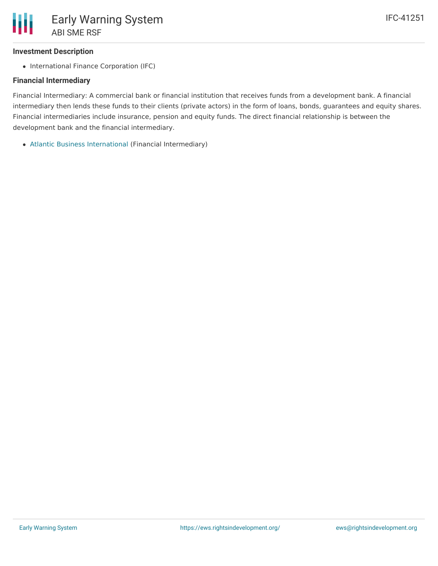## **Investment Description**

• International Finance Corporation (IFC)

## **Financial Intermediary**

Financial Intermediary: A commercial bank or financial institution that receives funds from a development bank. A financial intermediary then lends these funds to their clients (private actors) in the form of loans, bonds, guarantees and equity shares. Financial intermediaries include insurance, pension and equity funds. The direct financial relationship is between the development bank and the financial intermediary.

Atlantic Business [International](file:///actor/1115/) (Financial Intermediary)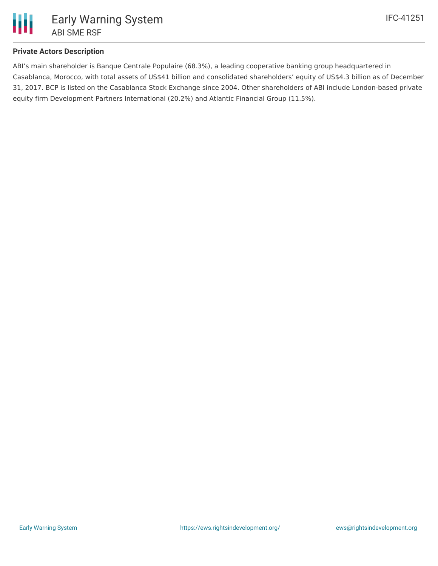

# **Private Actors Description**

ABI's main shareholder is Banque Centrale Populaire (68.3%), a leading cooperative banking group headquartered in Casablanca, Morocco, with total assets of US\$41 billion and consolidated shareholders' equity of US\$4.3 billion as of December 31, 2017. BCP is listed on the Casablanca Stock Exchange since 2004. Other shareholders of ABI include London-based private equity firm Development Partners International (20.2%) and Atlantic Financial Group (11.5%).